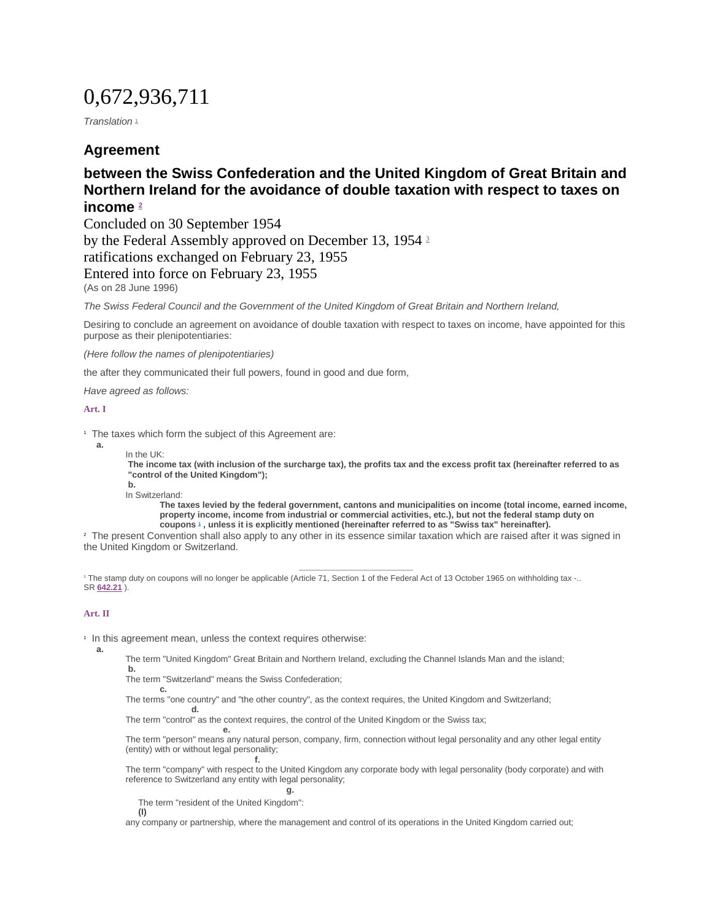# 0,672,936,711

*Translation*<sup>[1](https://www.admin.ch/opc/de/classified-compilation/19540185/index.html#fn1)</sup>

# **Agreement**

# **between the Swiss Confederation and the United Kingdom of Great Britain and Northern Ireland for the avoidance of double taxation with respect to taxes on income [2](https://www.admin.ch/opc/de/classified-compilation/19540185/index.html#fn2)**

Concluded on 30 September 1954 by the Federal Assembly approved on December 13, 1954 [3](https://www.admin.ch/opc/de/classified-compilation/19540185/index.html#fn3) ratifications exchanged on February 23, 1955 Entered into force on February 23, 1955 (As on 28 June 1996)

*The Swiss Federal Council and the Government of the United Kingdom of Great Britain and Northern Ireland,*

Desiring to conclude an agreement on avoidance of double taxation with respect to taxes on income, have appointed for this purpose as their plenipotentiaries:

*(Here follow the names of plenipotentiaries)*

the after they communicated their full powers, found in good and due form,

*Have agreed as follows:*

### **[Art. I](https://www.admin.ch/opc/de/classified-compilation/19540185/index.html#a1)**

**a.**

<sup>1</sup> The taxes which form the subject of this Agreement are:

In the UK:

**The income tax (with inclusion of the surcharge tax), the profits tax and the excess profit tax (hereinafter referred to as "control of the United Kingdom");**

**b.** In Switzerland:

**c.**

**d.**

**The taxes levied by the federal government, cantons and municipalities on income (total income, earned income, property income, income from industrial or commercial activities, etc.), but not the federal stamp duty on coupons [1](https://www.admin.ch/opc/de/classified-compilation/19540185/index.html#fn-#a1-1) , unless it is explicitly mentioned (hereinafter referred to as "Swiss tax" hereinafter).**

<sup>2</sup> The present Convention shall also apply to any other in its essence similar taxation which are raised after it was signed in the United Kingdom or Switzerland.

1 The stamp duty on coupons will no longer be applicable (Article 71, Section 1 of the Federal Act of 13 October 1965 on withholding tax -.. SR **[642.21](http://www.admin.ch/ch/d/sr/c642_21.html)** ).

### **[Art. II](https://www.admin.ch/opc/de/classified-compilation/19540185/index.html#a2)**

1 In this agreement mean, unless the context requires otherwise:

**a.**

The term "United Kingdom" Great Britain and Northern Ireland, excluding the Channel Islands Man and the island; **b.**

The term "Switzerland" means the Swiss Confederation;

**f.**

The terms "one country" and "the other country", as the context requires, the United Kingdom and Switzerland;

The term "control" as the context requires, the control of the United Kingdom or the Swiss tax;

**e.** The term "person" means any natural person, company, firm, connection without legal personality and any other legal entity (entity) with or without legal personality;

The term "company" with respect to the United Kingdom any corporate body with legal personality (body corporate) and with reference to Switzerland any entity with legal personality;

**g.** The term "resident of the United Kingdom": **(I)**

any company or partnership, where the management and control of its operations in the United Kingdom carried out;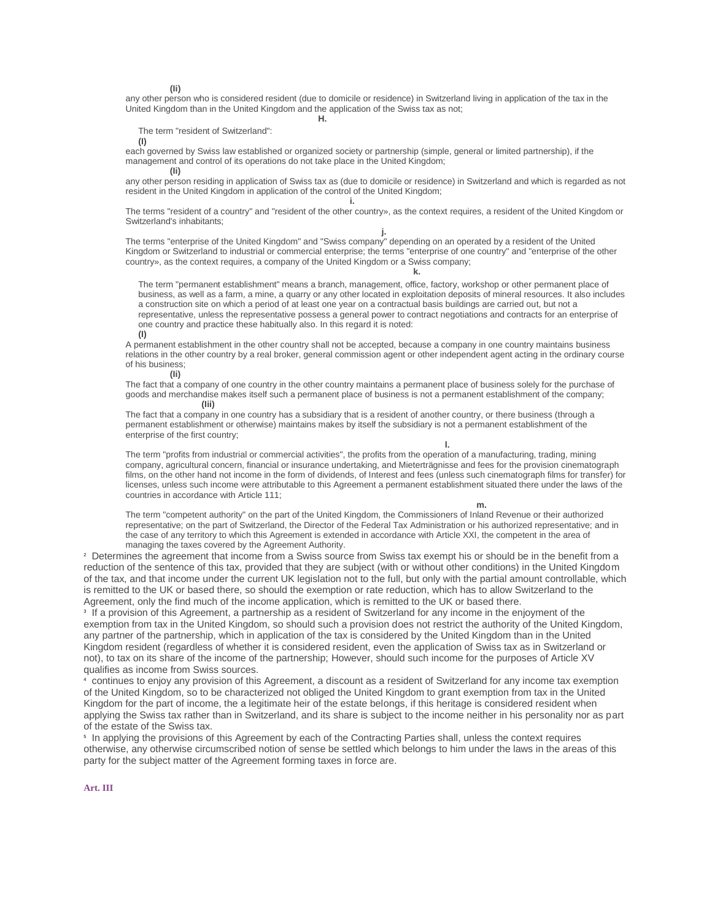**(Ii)**

any other person who is considered resident (due to domicile or residence) in Switzerland living in application of the tax in the United Kingdom than in the United Kingdom and the application of the Swiss tax as not;

**H.**

The term "resident of Switzerland":

**(I)**

each governed by Swiss law established or organized society or partnership (simple, general or limited partnership), if the management and control of its operations do not take place in the United Kingdom; **(Ii)**

**i.**

any other person residing in application of Swiss tax as (due to domicile or residence) in Switzerland and which is regarded as not resident in the United Kingdom in application of the control of the United Kingdom;

The terms "resident of a country" and "resident of the other country», as the context requires, a resident of the United Kingdom or Switzerland's inhabitants;

**j.**

The terms "enterprise of the United Kingdom" and "Swiss company" depending on an operated by a resident of the United Kingdom or Switzerland to industrial or commercial enterprise; the terms "enterprise of one country" and "enterprise of the other country», as the context requires, a company of the United Kingdom or a Swiss company;

**k.**

The term "permanent establishment" means a branch, management, office, factory, workshop or other permanent place of business, as well as a farm, a mine, a quarry or any other located in exploitation deposits of mineral resources. It also includes a construction site on which a period of at least one year on a contractual basis buildings are carried out, but not a representative, unless the representative possess a general power to contract negotiations and contracts for an enterprise of one country and practice these habitually also. In this regard it is noted:

**(I)**

A permanent establishment in the other country shall not be accepted, because a company in one country maintains business relations in the other country by a real broker, general commission agent or other independent agent acting in the ordinary course of his business; **(Ii)**

The fact that a company of one country in the other country maintains a permanent place of business solely for the purchase of goods and merchandise makes itself such a permanent place of business is not a permanent establishment of the company; **(Iii)**

The fact that a company in one country has a subsidiary that is a resident of another country, or there business (through a permanent establishment or otherwise) maintains makes by itself the subsidiary is not a permanent establishment of the enterprise of the first country;

**l.**

The term "profits from industrial or commercial activities", the profits from the operation of a manufacturing, trading, mining company, agricultural concern, financial or insurance undertaking, and Mieterträgnisse and fees for the provision cinematograph films, on the other hand not income in the form of dividends, of Interest and fees (unless such cinematograph films for transfer) for licenses, unless such income were attributable to this Agreement a permanent establishment situated there under the laws of the countries in accordance with Article 111;

**m.**

The term "competent authority" on the part of the United Kingdom, the Commissioners of Inland Revenue or their authorized representative; on the part of Switzerland, the Director of the Federal Tax Administration or his authorized representative; and in the case of any territory to which this Agreement is extended in accordance with Article XXI, the competent in the area of managing the taxes covered by the Agreement Authority.

<sup>2</sup> Determines the agreement that income from a Swiss source from Swiss tax exempt his or should be in the benefit from a reduction of the sentence of this tax, provided that they are subject (with or without other conditions) in the United Kingdom of the tax, and that income under the current UK legislation not to the full, but only with the partial amount controllable, which is remitted to the UK or based there, so should the exemption or rate reduction, which has to allow Switzerland to the Agreement, only the find much of the income application, which is remitted to the UK or based there.

3 If a provision of this Agreement, a partnership as a resident of Switzerland for any income in the enjoyment of the exemption from tax in the United Kingdom, so should such a provision does not restrict the authority of the United Kingdom, any partner of the partnership, which in application of the tax is considered by the United Kingdom than in the United Kingdom resident (regardless of whether it is considered resident, even the application of Swiss tax as in Switzerland or not), to tax on its share of the income of the partnership; However, should such income for the purposes of Article XV qualifies as income from Swiss sources.

<sup>4</sup> continues to enjoy any provision of this Agreement, a discount as a resident of Switzerland for any income tax exemption of the United Kingdom, so to be characterized not obliged the United Kingdom to grant exemption from tax in the United Kingdom for the part of income, the a legitimate heir of the estate belongs, if this heritage is considered resident when applying the Swiss tax rather than in Switzerland, and its share is subject to the income neither in his personality nor as part of the estate of the Swiss tax.

5 In applying the provisions of this Agreement by each of the Contracting Parties shall, unless the context requires otherwise, any otherwise circumscribed notion of sense be settled which belongs to him under the laws in the areas of this party for the subject matter of the Agreement forming taxes in force are.

**[Art. III](https://www.admin.ch/opc/de/classified-compilation/19540185/index.html#a3)**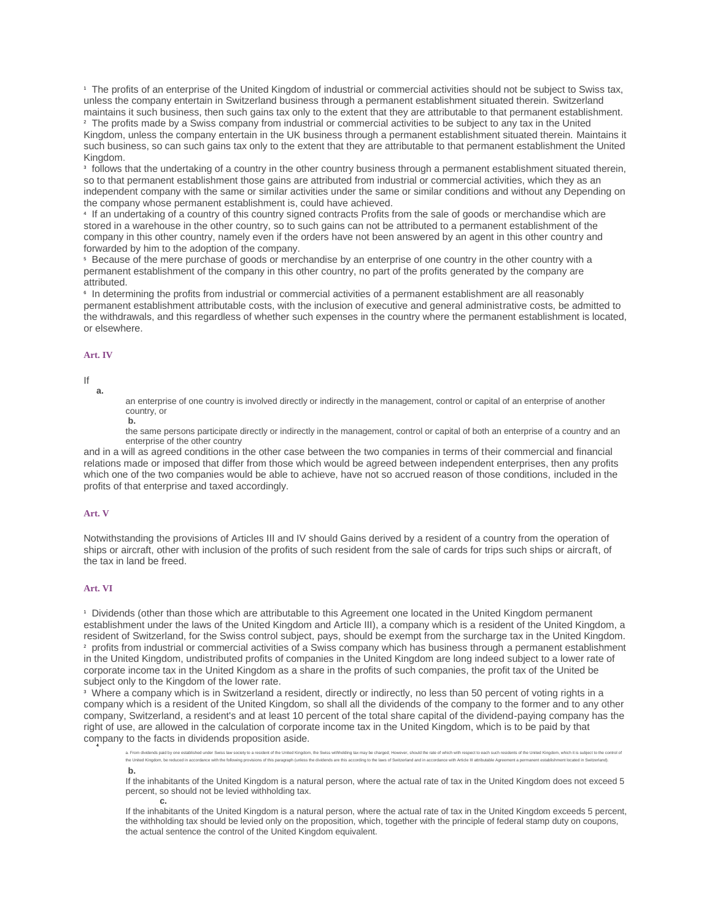<sup>1</sup> The profits of an enterprise of the United Kingdom of industrial or commercial activities should not be subject to Swiss tax, unless the company entertain in Switzerland business through a permanent establishment situated therein. Switzerland maintains it such business, then such gains tax only to the extent that they are attributable to that permanent establishment. <sup>2</sup> The profits made by a Swiss company from industrial or commercial activities to be subject to any tax in the United Kingdom, unless the company entertain in the UK business through a permanent establishment situated therein. Maintains it such business, so can such gains tax only to the extent that they are attributable to that permanent establishment the United Kingdom.

<sup>3</sup> follows that the undertaking of a country in the other country business through a permanent establishment situated therein, so to that permanent establishment those gains are attributed from industrial or commercial activities, which they as an independent company with the same or similar activities under the same or similar conditions and without any Depending on the company whose permanent establishment is, could have achieved.

4 If an undertaking of a country of this country signed contracts Profits from the sale of goods or merchandise which are stored in a warehouse in the other country, so to such gains can not be attributed to a permanent establishment of the company in this other country, namely even if the orders have not been answered by an agent in this other country and forwarded by him to the adoption of the company.

<sup>5</sup> Because of the mere purchase of goods or merchandise by an enterprise of one country in the other country with a permanent establishment of the company in this other country, no part of the profits generated by the company are attributed.

6 In determining the profits from industrial or commercial activities of a permanent establishment are all reasonably permanent establishment attributable costs, with the inclusion of executive and general administrative costs, be admitted to the withdrawals, and this regardless of whether such expenses in the country where the permanent establishment is located, or elsewhere.

#### **[Art. IV](https://www.admin.ch/opc/de/classified-compilation/19540185/index.html#a4)**

#### If

**a.**

an enterprise of one country is involved directly or indirectly in the management, control or capital of an enterprise of another country, or

**b.**

the same persons participate directly or indirectly in the management, control or capital of both an enterprise of a country and an enterprise of the other country

and in a will as agreed conditions in the other case between the two companies in terms of their commercial and financial relations made or imposed that differ from those which would be agreed between independent enterprises, then any profits which one of the two companies would be able to achieve, have not so accrued reason of those conditions, included in the profits of that enterprise and taxed accordingly.

#### **[Art. V](https://www.admin.ch/opc/de/classified-compilation/19540185/index.html#a5)**

Notwithstanding the provisions of Articles III and IV should Gains derived by a resident of a country from the operation of ships or aircraft, other with inclusion of the profits of such resident from the sale of cards for trips such ships or aircraft, of the tax in land be freed.

## **[Art. VI](https://www.admin.ch/opc/de/classified-compilation/19540185/index.html#a6)**

<sup>1</sup> Dividends (other than those which are attributable to this Agreement one located in the United Kingdom permanent establishment under the laws of the United Kingdom and Article III), a company which is a resident of the United Kingdom, a resident of Switzerland, for the Swiss control subject, pays, should be exempt from the surcharge tax in the United Kingdom. <sup>2</sup> profits from industrial or commercial activities of a Swiss company which has business through a permanent establishment in the United Kingdom, undistributed profits of companies in the United Kingdom are long indeed subject to a lower rate of corporate income tax in the United Kingdom as a share in the profits of such companies, the profit tax of the United be subject only to the Kingdom of the lower rate.

<sup>3</sup> Where a company which is in Switzerland a resident, directly or indirectly, no less than 50 percent of voting rights in a company which is a resident of the United Kingdom, so shall all the dividends of the company to the former and to any other company, Switzerland, a resident's and at least 10 percent of the total share capital of the dividend-paying company has the right of use, are allowed in the calculation of corporate income tax in the United Kingdom, which is to be paid by that company to the facts in dividends proposition aside. **4**

ds paid by one established under Swiss law society to a resident of the United Kingdom, the Swiss withholding tax may be charged; However, should the rate of which w the United Kingdom, be reduced in accordance with the following provisions of this paragraph (unless the dividends are this according to the laws of Switzerland and in accordance with Article III attributable Agreement a p **b.**

If the inhabitants of the United Kingdom is a natural person, where the actual rate of tax in the United Kingdom does not exceed 5 percent, so should not be levied withholding tax. **c.**

If the inhabitants of the United Kingdom is a natural person, where the actual rate of tax in the United Kingdom exceeds 5 percent, the withholding tax should be levied only on the proposition, which, together with the principle of federal stamp duty on coupons, the actual sentence the control of the United Kingdom equivalent.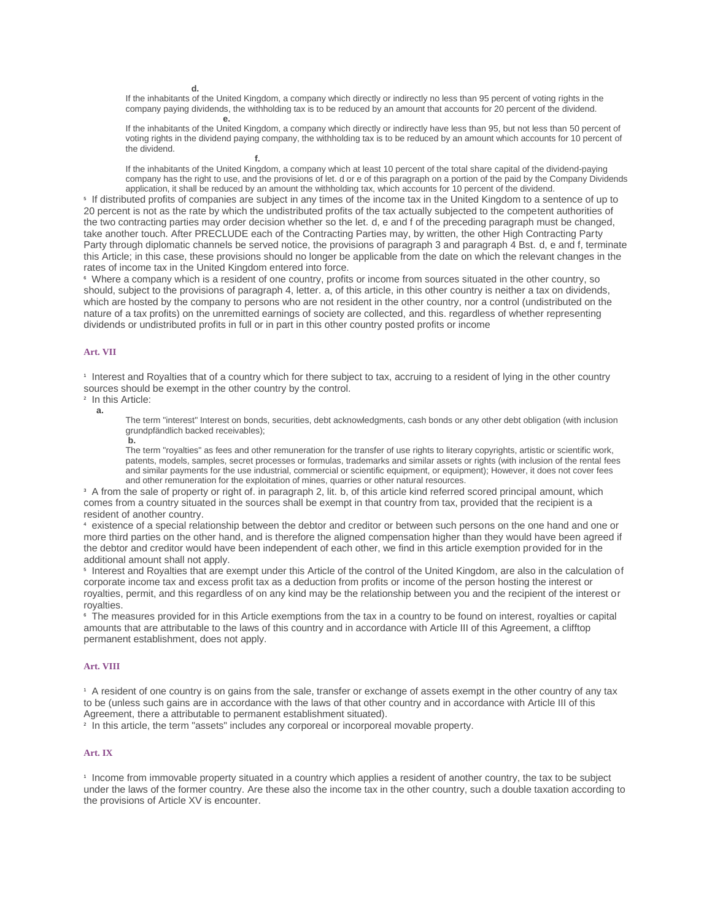**d.**

If the inhabitants of the United Kingdom, a company which directly or indirectly no less than 95 percent of voting rights in the company paying dividends, the withholding tax is to be reduced by an amount that accounts for 20 percent of the dividend. **e.**

If the inhabitants of the United Kingdom, a company which directly or indirectly have less than 95, but not less than 50 percent of voting rights in the dividend paying company, the withholding tax is to be reduced by an amount which accounts for 10 percent of the dividend. **f.**

If the inhabitants of the United Kingdom, a company which at least 10 percent of the total share capital of the dividend-paying company has the right to use, and the provisions of let. d or e of this paragraph on a portion of the paid by the Company Dividends application, it shall be reduced by an amount the withholding tax, which accounts for 10 percent of the dividend.

5 If distributed profits of companies are subject in any times of the income tax in the United Kingdom to a sentence of up to 20 percent is not as the rate by which the undistributed profits of the tax actually subjected to the competent authorities of the two contracting parties may order decision whether so the let. d, e and f of the preceding paragraph must be changed, take another touch. After PRECLUDE each of the Contracting Parties may, by written, the other High Contracting Party Party through diplomatic channels be served notice, the provisions of paragraph 3 and paragraph 4 Bst. d, e and f, terminate this Article; in this case, these provisions should no longer be applicable from the date on which the relevant changes in the rates of income tax in the United Kingdom entered into force.

<sup>6</sup> Where a company which is a resident of one country, profits or income from sources situated in the other country, so should, subject to the provisions of paragraph 4, letter. a, of this article, in this other country is neither a tax on dividends, which are hosted by the company to persons who are not resident in the other country, nor a control (undistributed on the nature of a tax profits) on the unremitted earnings of society are collected, and this. regardless of whether representing dividends or undistributed profits in full or in part in this other country posted profits or income

#### **[Art. VII](https://www.admin.ch/opc/de/classified-compilation/19540185/index.html#a7)**

1 Interest and Royalties that of a country which for there subject to tax, accruing to a resident of lying in the other country sources should be exempt in the other country by the control.

2 In this Article:

**a.**

The term "interest" Interest on bonds, securities, debt acknowledgments, cash bonds or any other debt obligation (with inclusion grundpfändlich backed receivables); **b.**

The term "royalties" as fees and other remuneration for the transfer of use rights to literary copyrights, artistic or scientific work, patents, models, samples, secret processes or formulas, trademarks and similar assets or rights (with inclusion of the rental fees and similar payments for the use industrial, commercial or scientific equipment, or equipment); However, it does not cover fees and other remuneration for the exploitation of mines, quarries or other natural resources.

<sup>3</sup> A from the sale of property or right of. in paragraph 2, lit. b, of this article kind referred scored principal amount, which comes from a country situated in the sources shall be exempt in that country from tax, provided that the recipient is a resident of another country.

<sup>4</sup> existence of a special relationship between the debtor and creditor or between such persons on the one hand and one or more third parties on the other hand, and is therefore the aligned compensation higher than they would have been agreed if the debtor and creditor would have been independent of each other, we find in this article exemption provided for in the additional amount shall not apply.

5 Interest and Royalties that are exempt under this Article of the control of the United Kingdom, are also in the calculation of corporate income tax and excess profit tax as a deduction from profits or income of the person hosting the interest or royalties, permit, and this regardless of on any kind may be the relationship between you and the recipient of the interest or royalties.

<sup>6</sup> The measures provided for in this Article exemptions from the tax in a country to be found on interest, royalties or capital amounts that are attributable to the laws of this country and in accordance with Article III of this Agreement, a clifftop permanent establishment, does not apply.

### **[Art. VIII](https://www.admin.ch/opc/de/classified-compilation/19540185/index.html#a8)**

<sup>1</sup> A resident of one country is on gains from the sale, transfer or exchange of assets exempt in the other country of any tax to be (unless such gains are in accordance with the laws of that other country and in accordance with Article III of this Agreement, there a attributable to permanent establishment situated).

2 In this article, the term "assets" includes any corporeal or incorporeal movable property.

### **[Art. IX](https://www.admin.ch/opc/de/classified-compilation/19540185/index.html#a9)**

1 Income from immovable property situated in a country which applies a resident of another country, the tax to be subject under the laws of the former country. Are these also the income tax in the other country, such a double taxation according to the provisions of Article XV is encounter.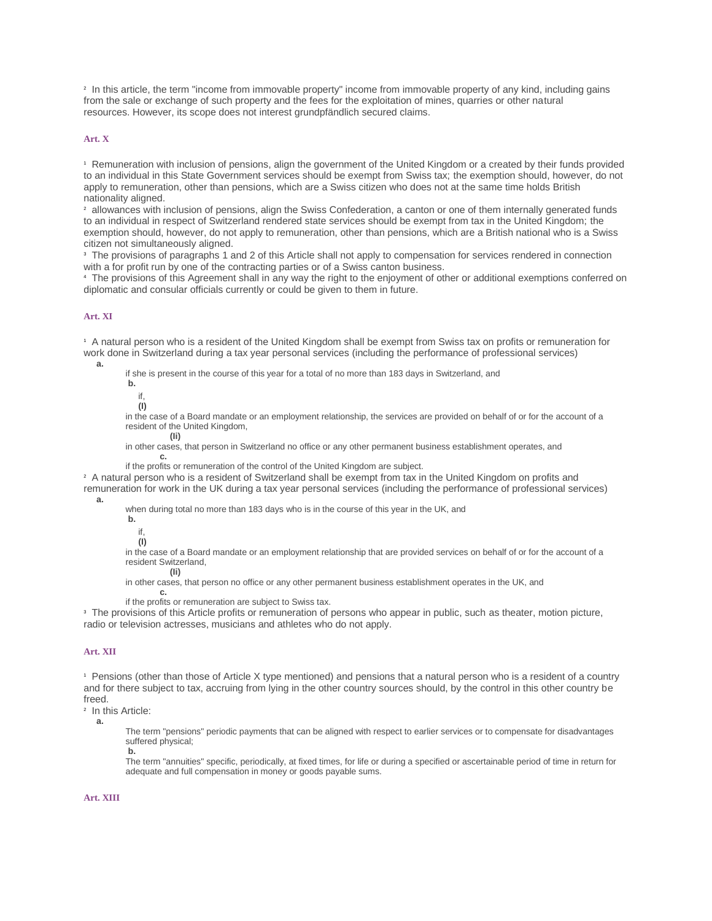2 In this article, the term "income from immovable property" income from immovable property of any kind, including gains from the sale or exchange of such property and the fees for the exploitation of mines, quarries or other natural resources. However, its scope does not interest grundpfändlich secured claims.

### **[Art. X](https://www.admin.ch/opc/de/classified-compilation/19540185/index.html#a10)**

<sup>1</sup> Remuneration with inclusion of pensions, align the government of the United Kingdom or a created by their funds provided to an individual in this State Government services should be exempt from Swiss tax; the exemption should, however, do not apply to remuneration, other than pensions, which are a Swiss citizen who does not at the same time holds British nationality aligned.

<sup>2</sup> allowances with inclusion of pensions, align the Swiss Confederation, a canton or one of them internally generated funds to an individual in respect of Switzerland rendered state services should be exempt from tax in the United Kingdom; the exemption should, however, do not apply to remuneration, other than pensions, which are a British national who is a Swiss citizen not simultaneously aligned.

<sup>3</sup> The provisions of paragraphs 1 and 2 of this Article shall not apply to compensation for services rendered in connection with a for profit run by one of the contracting parties or of a Swiss canton business.

<sup>4</sup> The provisions of this Agreement shall in any way the right to the enjoyment of other or additional exemptions conferred on diplomatic and consular officials currently or could be given to them in future.

#### **[Art. XI](https://www.admin.ch/opc/de/classified-compilation/19540185/index.html#a11)**

<sup>1</sup> A natural person who is a resident of the United Kingdom shall be exempt from Swiss tax on profits or remuneration for work done in Switzerland during a tax year personal services (including the performance of professional services) **a.**

if she is present in the course of this year for a total of no more than 183 days in Switzerland, and

**b.** if,

**(I)**

in the case of a Board mandate or an employment relationship, the services are provided on behalf of or for the account of a resident of the United Kingdom, **(Ii)**

in other cases, that person in Switzerland no office or any other permanent business establishment operates, and

**c.** if the profits or remuneration of the control of the United Kingdom are subject.

<sup>2</sup> A natural person who is a resident of Switzerland shall be exempt from tax in the United Kingdom on profits and remuneration for work in the UK during a tax year personal services (including the performance of professional services) **a.**

when during total no more than 183 days who is in the course of this year in the UK, and

**b.**

if, **(I)**

in the case of a Board mandate or an employment relationship that are provided services on behalf of or for the account of a resident Switzerland, **(Ii)**

in other cases, that person no office or any other permanent business establishment operates in the UK, and **c.**

if the profits or remuneration are subject to Swiss tax.

<sup>3</sup> The provisions of this Article profits or remuneration of persons who appear in public, such as theater, motion picture, radio or television actresses, musicians and athletes who do not apply.

### **[Art. XII](https://www.admin.ch/opc/de/classified-compilation/19540185/index.html#a12)**

<sup>1</sup> Pensions (other than those of Article X type mentioned) and pensions that a natural person who is a resident of a country and for there subject to tax, accruing from lying in the other country sources should, by the control in this other country be freed.

2 In this Article:

**a.**

The term "pensions" periodic payments that can be aligned with respect to earlier services or to compensate for disadvantages suffered physical; **b.**

The term "annuities" specific, periodically, at fixed times, for life or during a specified or ascertainable period of time in return for adequate and full compensation in money or goods payable sums.

**[Art. XIII](https://www.admin.ch/opc/de/classified-compilation/19540185/index.html#a13)**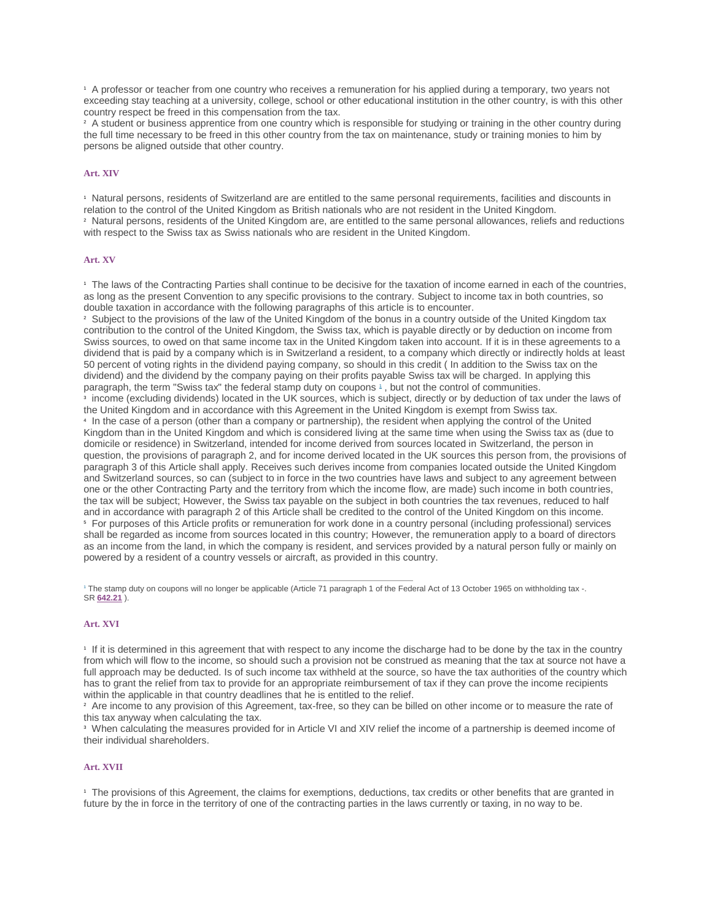<sup>1</sup> A professor or teacher from one country who receives a remuneration for his applied during a temporary, two years not exceeding stay teaching at a university, college, school or other educational institution in the other country, is with this other country respect be freed in this compensation from the tax.

<sup>2</sup> A student or business apprentice from one country which is responsible for studying or training in the other country during the full time necessary to be freed in this other country from the tax on maintenance, study or training monies to him by persons be aligned outside that other country.

# **[Art. XIV](https://www.admin.ch/opc/de/classified-compilation/19540185/index.html#a14)**

<sup>1</sup> Natural persons, residents of Switzerland are are entitled to the same personal requirements, facilities and discounts in relation to the control of the United Kingdom as British nationals who are not resident in the United Kingdom.

<sup>2</sup> Natural persons, residents of the United Kingdom are, are entitled to the same personal allowances, reliefs and reductions with respect to the Swiss tax as Swiss nationals who are resident in the United Kingdom.

# **[Art. XV](https://www.admin.ch/opc/de/classified-compilation/19540185/index.html#a15)**

<sup>1</sup> The laws of the Contracting Parties shall continue to be decisive for the taxation of income earned in each of the countries, as long as the present Convention to any specific provisions to the contrary. Subject to income tax in both countries, so double taxation in accordance with the following paragraphs of this article is to encounter.

<sup>2</sup> Subject to the provisions of the law of the United Kingdom of the bonus in a country outside of the United Kingdom tax contribution to the control of the United Kingdom, the Swiss tax, which is payable directly or by deduction on income from Swiss sources, to owed on that same income tax in the United Kingdom taken into account. If it is in these agreements to a dividend that is paid by a company which is in Switzerland a resident, to a company which directly or indirectly holds at least 50 percent of voting rights in the dividend paying company, so should in this credit ( In addition to the Swiss tax on the dividend) and the dividend by the company paying on their profits payable Swiss tax will be charged. In applying this paragraph, the term "Swiss tax" the federal stamp duty on coupons <sup>[1](https://www.admin.ch/opc/de/classified-compilation/19540185/index.html#fn-#a15-1)</sup>, but not the control of communities. 3 income (excluding dividends) located in the UK sources, which is subject, directly or by deduction of tax under the laws of the United Kingdom and in accordance with this Agreement in the United Kingdom is exempt from Swiss tax. 4 In the case of a person (other than a company or partnership), the resident when applying the control of the United Kingdom than in the United Kingdom and which is considered living at the same time when using the Swiss tax as (due to domicile or residence) in Switzerland, intended for income derived from sources located in Switzerland, the person in question, the provisions of paragraph 2, and for income derived located in the UK sources this person from, the provisions of paragraph 3 of this Article shall apply. Receives such derives income from companies located outside the United Kingdom and Switzerland sources, so can (subject to in force in the two countries have laws and subject to any agreement between one or the other Contracting Party and the territory from which the income flow, are made) such income in both countries, the tax will be subject; However, the Swiss tax payable on the subject in both countries the tax revenues, reduced to half and in accordance with paragraph 2 of this Article shall be credited to the control of the United Kingdom on this income. <sup>5</sup> For purposes of this Article profits or remuneration for work done in a country personal (including professional) services shall be regarded as income from sources located in this country; However, the remuneration apply to a board of directors as an income from the land, in which the company is resident, and services provided by a natural person fully or mainly on powered by a resident of a country vessels or aircraft, as provided in this country.

1 The stamp duty on coupons will no longer be applicable (Article 71 paragraph 1 of the Federal Act of 13 October 1965 on withholding tax -. SR **[642.21](http://www.admin.ch/ch/d/sr/c642_21.html)** ).

#### **[Art. XVI](https://www.admin.ch/opc/de/classified-compilation/19540185/index.html#a16)**

1 If it is determined in this agreement that with respect to any income the discharge had to be done by the tax in the country from which will flow to the income, so should such a provision not be construed as meaning that the tax at source not have a full approach may be deducted. Is of such income tax withheld at the source, so have the tax authorities of the country which has to grant the relief from tax to provide for an appropriate reimbursement of tax if they can prove the income recipients within the applicable in that country deadlines that he is entitled to the relief.

<sup>2</sup> Are income to any provision of this Agreement, tax-free, so they can be billed on other income or to measure the rate of this tax anyway when calculating the tax.

<sup>3</sup> When calculating the measures provided for in Article VI and XIV relief the income of a partnership is deemed income of their individual shareholders.

# **[Art. XVII](https://www.admin.ch/opc/de/classified-compilation/19540185/index.html#a17)**

<sup>1</sup> The provisions of this Agreement, the claims for exemptions, deductions, tax credits or other benefits that are granted in future by the in force in the territory of one of the contracting parties in the laws currently or taxing, in no way to be.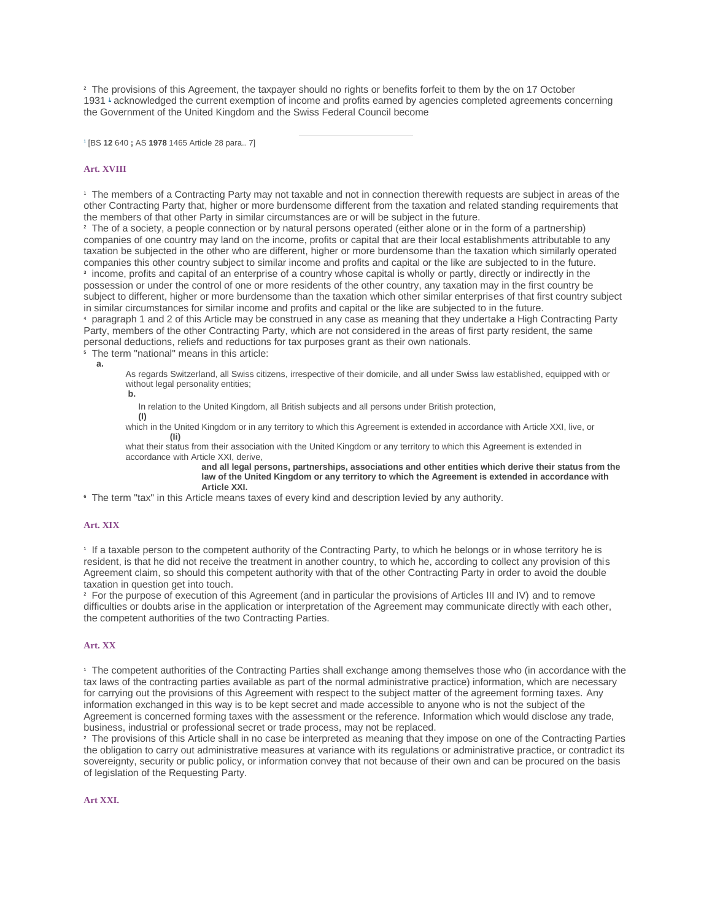<sup>2</sup> The provisions of this Agreement, the taxpayer should no rights or benefits forfeit to them by the on 17 October 1931 [1](https://www.admin.ch/opc/de/classified-compilation/19540185/index.html#fn-#a17-1) acknowledged the current exemption of income and profits earned by agencies completed agreements concerning the Government of the United Kingdom and the Swiss Federal Council become

1 [BS **12** 640 **;** AS **1978** 1465 Article 28 para.. 7]

#### **[Art. XVIII](https://www.admin.ch/opc/de/classified-compilation/19540185/index.html#a18)**

<sup>1</sup> The members of a Contracting Party may not taxable and not in connection therewith requests are subject in areas of the other Contracting Party that, higher or more burdensome different from the taxation and related standing requirements that the members of that other Party in similar circumstances are or will be subject in the future.

<sup>2</sup> The of a society, a people connection or by natural persons operated (either alone or in the form of a partnership) companies of one country may land on the income, profits or capital that are their local establishments attributable to any taxation be subjected in the other who are different, higher or more burdensome than the taxation which similarly operated companies this other country subject to similar income and profits and capital or the like are subjected to in the future. 3 income, profits and capital of an enterprise of a country whose capital is wholly or partly, directly or indirectly in the possession or under the control of one or more residents of the other country, any taxation may in the first country be subject to different, higher or more burdensome than the taxation which other similar enterprises of that first country subject in similar circumstances for similar income and profits and capital or the like are subjected to in the future.

<sup>4</sup> paragraph 1 and 2 of this Article may be construed in any case as meaning that they undertake a High Contracting Party Party, members of the other Contracting Party, which are not considered in the areas of first party resident, the same personal deductions, reliefs and reductions for tax purposes grant as their own nationals.

<sup>5</sup> The term "national" means in this article:

**a.**

As regards Switzerland, all Swiss citizens, irrespective of their domicile, and all under Swiss law established, equipped with or without legal personality entities;

**b.**

In relation to the United Kingdom, all British subjects and all persons under British protection,

**(I)** which in the United Kingdom or in any territory to which this Agreement is extended in accordance with Article XXI, live, or **(Ii)**

what their status from their association with the United Kingdom or any territory to which this Agreement is extended in accordance with Article XXI, derive,

**and all legal persons, partnerships, associations and other entities which derive their status from the law of the United Kingdom or any territory to which the Agreement is extended in accordance with Article XXI.**

<sup>6</sup> The term "tax" in this Article means taxes of every kind and description levied by any authority.

# **[Art. XIX](https://www.admin.ch/opc/de/classified-compilation/19540185/index.html#a19)**

1 If a taxable person to the competent authority of the Contracting Party, to which he belongs or in whose territory he is resident, is that he did not receive the treatment in another country, to which he, according to collect any provision of this Agreement claim, so should this competent authority with that of the other Contracting Party in order to avoid the double taxation in question get into touch.

<sup>2</sup> For the purpose of execution of this Agreement (and in particular the provisions of Articles III and IV) and to remove difficulties or doubts arise in the application or interpretation of the Agreement may communicate directly with each other, the competent authorities of the two Contracting Parties.

# **[Art. XX](https://www.admin.ch/opc/de/classified-compilation/19540185/index.html#a20)**

<sup>1</sup> The competent authorities of the Contracting Parties shall exchange among themselves those who (in accordance with the tax laws of the contracting parties available as part of the normal administrative practice) information, which are necessary for carrying out the provisions of this Agreement with respect to the subject matter of the agreement forming taxes. Any information exchanged in this way is to be kept secret and made accessible to anyone who is not the subject of the Agreement is concerned forming taxes with the assessment or the reference. Information which would disclose any trade, business, industrial or professional secret or trade process, may not be replaced.

<sup>2</sup> The provisions of this Article shall in no case be interpreted as meaning that they impose on one of the Contracting Parties the obligation to carry out administrative measures at variance with its regulations or administrative practice, or contradict its sovereignty, security or public policy, or information convey that not because of their own and can be procured on the basis of legislation of the Requesting Party.

#### **[Art XXI.](https://www.admin.ch/opc/de/classified-compilation/19540185/index.html#a21)**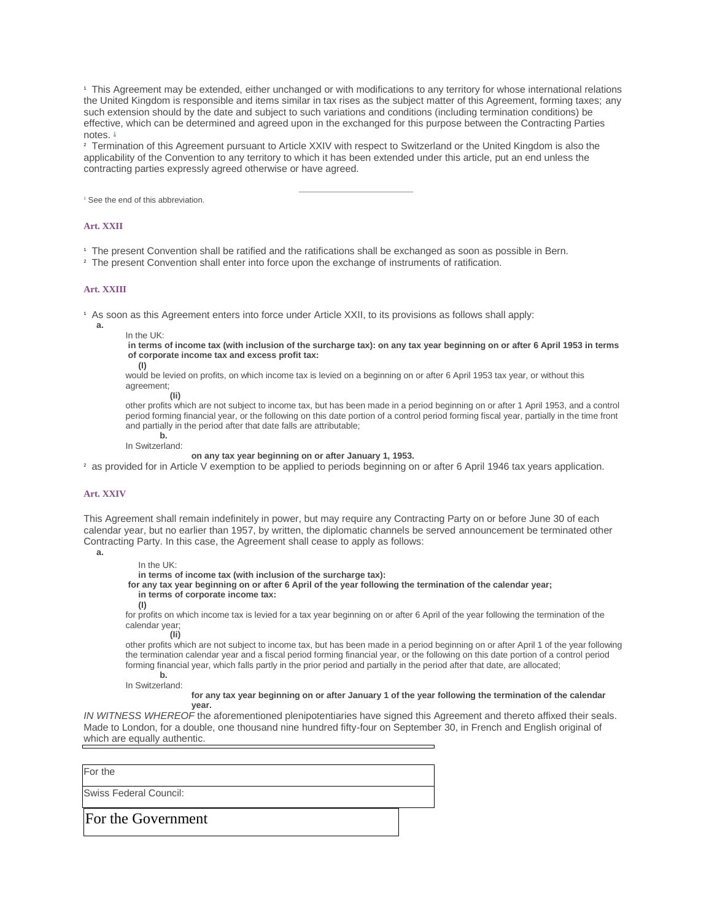<sup>1</sup> This Agreement may be extended, either unchanged or with modifications to any territory for whose international relations the United Kingdom is responsible and items similar in tax rises as the subject matter of this Agreement, forming taxes; any such extension should by the date and subject to such variations and conditions (including termination conditions) be effective, which can be determined and agreed upon in the exchanged for this purpose between the Contracting Parties notes.<sup>[1](https://www.admin.ch/opc/de/classified-compilation/19540185/index.html#fn-#a21-1)</sup>

<sup>2</sup> Termination of this Agreement pursuant to Article XXIV with respect to Switzerland or the United Kingdom is also the applicability of the Convention to any territory to which it has been extended under this article, put an end unless the contracting parties expressly agreed otherwise or have agreed.

<sup>1</sup> See the end of this abbreviation.

#### **[Art. XXII](https://www.admin.ch/opc/de/classified-compilation/19540185/index.html#a22)**

<sup>1</sup> The present Convention shall be ratified and the ratifications shall be exchanged as soon as possible in Bern.

<sup>2</sup> The present Convention shall enter into force upon the exchange of instruments of ratification.

#### **[Art. XXIII](https://www.admin.ch/opc/de/classified-compilation/19540185/index.html#a23)**

<sup>1</sup> As soon as this Agreement enters into force under Article XXII, to its provisions as follows shall apply:

**a.**

```
In the UK:
```
**in terms of income tax (with inclusion of the surcharge tax): on any tax year beginning on or after 6 April 1953 in terms of corporate income tax and excess profit tax:**

**(I)**

would be levied on profits, on which income tax is levied on a beginning on or after 6 April 1953 tax year, or without this agreement; **(Ii)**

other profits which are not subject to income tax, but has been made in a period beginning on or after 1 April 1953, and a control period forming financial year, or the following on this date portion of a control period forming fiscal year, partially in the time front and partially in the period after that date falls are attributable; **b.**

In Switzerland:

**on any tax year beginning on or after January 1, 1953.**

<sup>2</sup> as provided for in Article V exemption to be applied to periods beginning on or after 6 April 1946 tax years application.

#### **[Art. XXIV](https://www.admin.ch/opc/de/classified-compilation/19540185/index.html#a24)**

This Agreement shall remain indefinitely in power, but may require any Contracting Party on or before June 30 of each calendar year, but no earlier than 1957, by written, the diplomatic channels be served announcement be terminated other Contracting Party. In this case, the Agreement shall cease to apply as follows:

**a.**

In the UK:

**in terms of income tax (with inclusion of the surcharge tax):**

**for any tax year beginning on or after 6 April of the year following the termination of the calendar year;**

# **in terms of corporate income tax:**

**(I)**

for profits on which income tax is levied for a tax year beginning on or after 6 April of the year following the termination of the calendar year;

**(Ii)** other profits which are not subject to income tax, but has been made in a period beginning on or after April 1 of the year following the termination calendar year and a fiscal period forming financial year, or the following on this date portion of a control period

forming financial year, which falls partly in the prior period and partially in the period after that date, are allocated; **b.**

In Switzerland:

**for any tax year beginning on or after January 1 of the year following the termination of the calendar year.**

*IN WITNESS WHEREOF* the aforementioned plenipotentiaries have signed this Agreement and thereto affixed their seals. Made to London, for a double, one thousand nine hundred fifty-four on September 30, in French and English original of which are equally authentic.

For the Swiss Federal Council: For the Government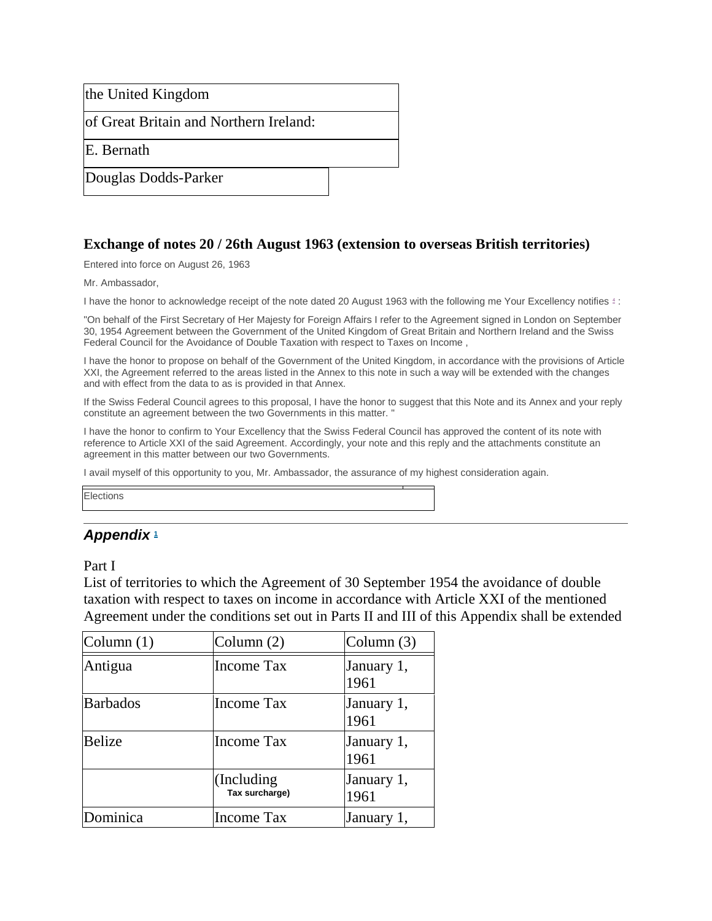the United Kingdom

of Great Britain and Northern Ireland:

E. Bernath

Douglas Dodds-Parker

# **Exchange of notes 20 / 26th August 1963 (extension to overseas British territories)**

Entered into force on August 26, 1963

Mr. Ambassador,

I have the honor to acknowledge receipt of the note dated 20 August 1963 with the following me Your Excellency notifies [4](https://www.admin.ch/opc/de/classified-compilation/19540185/index.html#fn4) :

"On behalf of the First Secretary of Her Majesty for Foreign Affairs I refer to the Agreement signed in London on September 30, 1954 Agreement between the Government of the United Kingdom of Great Britain and Northern Ireland and the Swiss Federal Council for the Avoidance of Double Taxation with respect to Taxes on Income ,

I have the honor to propose on behalf of the Government of the United Kingdom, in accordance with the provisions of Article XXI, the Agreement referred to the areas listed in the Annex to this note in such a way will be extended with the changes and with effect from the data to as is provided in that Annex.

If the Swiss Federal Council agrees to this proposal, I have the honor to suggest that this Note and its Annex and your reply constitute an agreement between the two Governments in this matter. "

I have the honor to confirm to Your Excellency that the Swiss Federal Council has approved the content of its note with reference to Article XXI of the said Agreement. Accordingly, your note and this reply and the attachments constitute an agreement in this matter between our two Governments.

I avail myself of this opportunity to you, Mr. Ambassador, the assurance of my highest consideration again.

**Elections** 

# *Appendix* **[1](https://www.admin.ch/opc/de/classified-compilation/19540185/index.html#fn-#app1-1)**

Part I

List of territories to which the Agreement of 30 September 1954 the avoidance of double taxation with respect to taxes on income in accordance with Article XXI of the mentioned Agreement under the conditions set out in Parts II and III of this Appendix shall be extended

| Column $(1)$    | Column $(2)$                 | Column $(3)$       |
|-----------------|------------------------------|--------------------|
| Antigua         | <b>Income Tax</b>            | January 1,<br>1961 |
| <b>Barbados</b> | Income Tax                   | January 1,<br>1961 |
| <b>Belize</b>   | <b>Income Tax</b>            | January 1,<br>1961 |
|                 | (Including<br>Tax surcharge) | January 1,<br>1961 |
| Dominica        | Income Tax                   | January 1,         |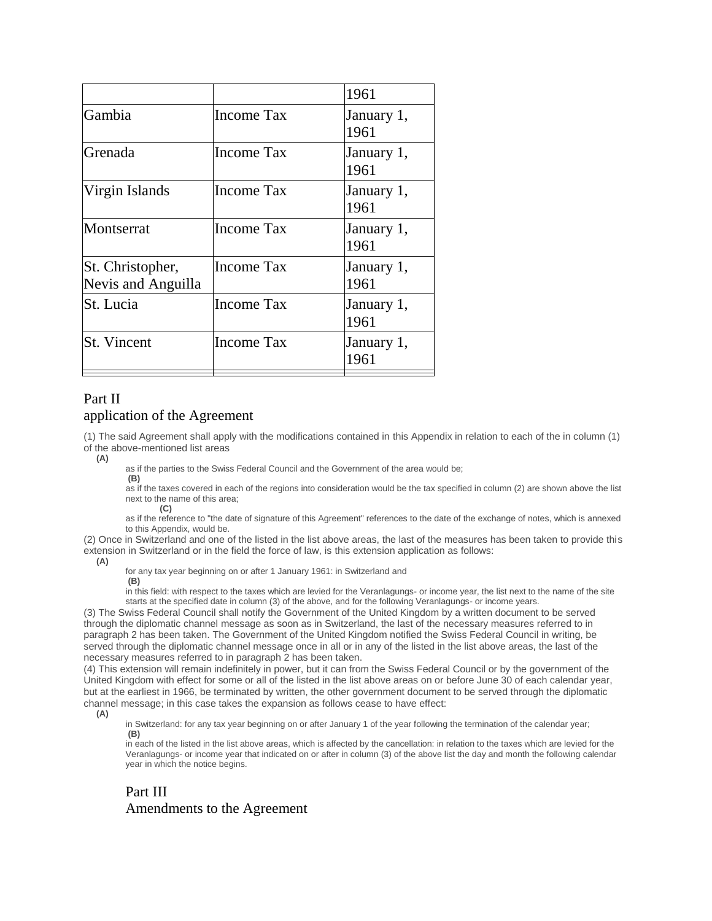|                                        |                   | 1961               |
|----------------------------------------|-------------------|--------------------|
| Gambia                                 | Income Tax        | January 1,<br>1961 |
| Grenada                                | <b>Income Tax</b> | January 1,<br>1961 |
| Virgin Islands                         | Income Tax        | January 1,<br>1961 |
| Montserrat                             | <b>Income Tax</b> | January 1,<br>1961 |
| St. Christopher,<br>Nevis and Anguilla | Income Tax        | January 1,<br>1961 |
| St. Lucia                              | <b>Income Tax</b> | January 1,<br>1961 |
| St. Vincent                            | Income Tax        | January 1,<br>1961 |

# Part II application of the Agreement

(1) The said Agreement shall apply with the modifications contained in this Appendix in relation to each of the in column (1) of the above-mentioned list areas

**(A)**

as if the parties to the Swiss Federal Council and the Government of the area would be; **(B)**

as if the taxes covered in each of the regions into consideration would be the tax specified in column (2) are shown above the list next to the name of this area;

**(C)**

as if the reference to "the date of signature of this Agreement" references to the date of the exchange of notes, which is annexed to this Appendix, would be.

(2) Once in Switzerland and one of the listed in the list above areas, the last of the measures has been taken to provide this extension in Switzerland or in the field the force of law, is this extension application as follows:

**(A)**

for any tax year beginning on or after 1 January 1961: in Switzerland and

**(B)**

in this field: with respect to the taxes which are levied for the Veranlagungs- or income year, the list next to the name of the site starts at the specified date in column (3) of the above, and for the following Veranlagungs- or income years.

(3) The Swiss Federal Council shall notify the Government of the United Kingdom by a written document to be served through the diplomatic channel message as soon as in Switzerland, the last of the necessary measures referred to in paragraph 2 has been taken. The Government of the United Kingdom notified the Swiss Federal Council in writing, be served through the diplomatic channel message once in all or in any of the listed in the list above areas, the last of the necessary measures referred to in paragraph 2 has been taken.

(4) This extension will remain indefinitely in power, but it can from the Swiss Federal Council or by the government of the United Kingdom with effect for some or all of the listed in the list above areas on or before June 30 of each calendar year, but at the earliest in 1966, be terminated by written, the other government document to be served through the diplomatic channel message; in this case takes the expansion as follows cease to have effect:

**(A)**

in Switzerland: for any tax year beginning on or after January 1 of the year following the termination of the calendar year; **(B)**

in each of the listed in the list above areas, which is affected by the cancellation: in relation to the taxes which are levied for the Veranlagungs- or income year that indicated on or after in column (3) of the above list the day and month the following calendar year in which the notice begins.

# Part III Amendments to the Agreement